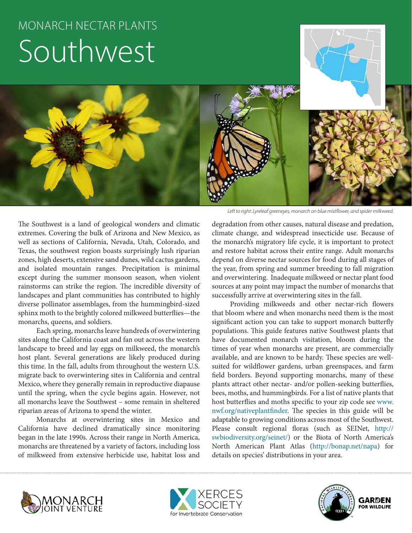# MONARCH NECTAR PLANTS Southwest



The Southwest is a land of geological wonders and climatic extremes. Covering the bulk of Arizona and New Mexico, as well as sections of California, Nevada, Utah, Colorado, and Texas, the southwest region boasts surprisingly lush riparian zones, high deserts, extensive sand dunes, wild cactus gardens, and isolated mountain ranges. Precipitation is minimal except during the summer monsoon season, when violent rainstorms can strike the region. The incredible diversity of landscapes and plant communities has contributed to highly diverse pollinator assemblages, from the hummingbird-sized sphinx moth to the brightly colored milkweed butterflies—the monarchs, queens, and soldiers.

Each spring, monarchs leave hundreds of overwintering sites along the California coast and fan out across the western landscape to breed and lay eggs on milkweed, the monarch's host plant. Several generations are likely produced during this time. In the fall, adults from throughout the western U.S. migrate back to overwintering sites in California and central Mexico, where they generally remain in reproductive diapause until the spring, when the cycle begins again. However, not all monarchs leave the Southwest – some remain in sheltered riparian areas of Arizona to spend the winter.

Monarchs at overwintering sites in Mexico and California have declined dramatically since monitoring began in the late 1990s. Across their range in North America, monarchs are threatened by a variety of factors, including loss of milkweed from extensive herbicide use, habitat loss and

degradation from other causes, natural disease and predation, climate change, and widespread insecticide use. Because of the monarch's migratory life cycle, it is important to protect and restore habitat across their entire range. Adult monarchs depend on diverse nectar sources for food during all stages of the year, from spring and summer breeding to fall migration and overwintering. Inadequate milkweed or nectar plant food

sources at any point may impact the number of monarchs that

successfully arrive at overwintering sites in the fall. Providing milkweeds and other nectar-rich flowers that bloom where and when monarchs need them is the most significant action you can take to support monarch butterfly populations. This guide features native Southwest plants that have documented monarch visitation, bloom during the times of year when monarchs are present, are commercially available, and are known to be hardy. These species are wellsuited for wildflower gardens, urban greenspaces, and farm field borders. Beyond supporting monarchs, many of these plants attract other nectar- and/or pollen-seeking butterflies, bees, moths, and hummingbirds. For a list of native plants that host butterflies and moths specific to your zip code see www. nwf.org/nativeplantfinder. The species in this guide will be adaptable to growing conditions across most of the Southwest. Please consult regional floras (such as SEINet, [http://](http://swbiodiversity.org/seinet/) [swbiodiversity.org/seinet/\)](http://swbiodiversity.org/seinet/) or the Biota of North America's North American Plant Atlas (http://bonap.net/napa) for details on species' distributions in your area.





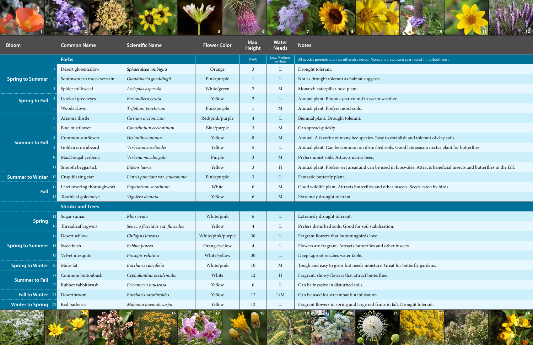



present year-round in the Southwest.

establish and tolerant of clay soils.

ls. Good late season nectar plant for butterflies.

in bioswales. Attracts beneficial insects and butterflies in the fall.

Patorium seroties **Eurator Seeds** eaten by birds. At thorough

Pat for butterfly gardens.

| <b>Bloom</b>                   | <b>Common Name</b>         | <b>Scientific Name</b>           | <b>Flower Color</b> | Max.<br><b>Height</b> | <b>Water</b><br><b>Needs</b> | <b>Right Sea</b><br><b>Notes</b>                                         |
|--------------------------------|----------------------------|----------------------------------|---------------------|-----------------------|------------------------------|--------------------------------------------------------------------------|
|                                | <b>Forbs</b>               |                                  |                     | (Feet)                | Low, Medium,<br>or High      | All species perennials, unless otherwise noted. Monarchs are present yea |
| <b>Spring to Summer</b>        | Desert globemallow         | Sphaeralcea ambigua              | Orange              | 3                     | L                            | Drought tolerant.                                                        |
|                                | Southwestern mock vervain  | Glandularia gooddingii           | Pink/purple         | 1                     | $\mathbf{L}$                 | Not as drought tolerant as habitat suggests.                             |
|                                | Spider milkweed            | Asclepias asperula               | White/green         | $\overline{2}$        | $\mathbf{M}$                 | Monarch caterpillar host plant.                                          |
| <b>Spring to Fall</b>          | Lyreleaf greeneyes         | Berlandiera lyrata               | Yellow              | $\overline{2}$        | $\mathbf{L}$                 | Annual plant. Blooms year-round in warm weather.                         |
|                                | Woods clover               | Trifolium pinetorum              | Pink/purple         |                       | $\mathbf{M}$                 | Annual plant. Prefers moist soils.                                       |
| <b>Summer to Fall</b>          | Arizona thistle            | Cirsium arizonicum               | Red/pink/purple     | $\overline{4}$        | $\mathbf{L}$                 | Biennial plant. Drought tolerant.                                        |
|                                | Blue mistflower            | Conoclinium coelestinum          | Blue/purple         | 3                     | $\mathbf{M}$                 | Can spread quickly.                                                      |
|                                | Common sunflower           | Helianthus annuus                | Yellow              | 8                     | M                            | Annual. A favorite of many bee species. Easy to establish a              |
|                                | Golden crownbeard          | Verbesina encelioides            | Yellow              | 5                     | L                            | Annual plant. Can be common on disturbed soils. Good la                  |
|                                | MacDougal verbena          | Verbena macdougalii              | Purple              | 3                     | M                            | Prefers moist soils. Attracts native bees.                               |
|                                | Smooth beggartick          | <b>Bidens</b> laevis             | Yellow              | 3                     | H                            | Annual plant. Prefers wet areas and can be used in bioswa                |
| <b>Summer to Winter</b>        | Cusp blazing star          | Liatris punctata var. mucronata  | Pink/purple         | $\mathfrak{Z}$        | $\mathbf{L}$                 | Fantastic butterfly plant.                                               |
| Fall                           | Lateflowering thoroughwort | Eupatorium serotinum             | White               | 6                     | $\mathbf{M}$                 | Good wildlife plant. Attracts butterflies and other insects.             |
|                                | Toothleaf goldeneye        | Viguiera dentata                 | Yellow              | 6                     | M                            | Extremely drought tolerant.                                              |
|                                | <b>Shrubs and Trees</b>    |                                  |                     |                       |                              |                                                                          |
| <b>Spring</b>                  | Sugar sumac                | Rhus ovata                       | White/pink          | 6                     | L                            | Extremely drought tolerant.                                              |
|                                | Threadleaf ragwort         | Senecio flaccidus var. flaccidus | Yellow              | 4                     |                              | Prefers disturbed soils. Good for soil stabilization.                    |
| <b>Spring to Summer</b><br> 18 | Desert willow              | Chilopsis linearis               | White/pink/purple   | 30                    | L                            | Fragrant flowers that hummingbirds love.                                 |
|                                | Sweetbush                  | Bebbia juncea                    | Orange/yellow       | 4                     | L                            | Flowers are fragrant. Attracts butterflies and other insects.            |
|                                | Velvet mesquite            | Prosopis velutina                | White/yellow        | 30                    | $\Gamma$                     | Deep taproot reaches water table.                                        |
| <b>Spring to Winter</b> 20     | Mule-fat                   | Baccharis salicifolia            | White/pink          | 10                    | $\mathbf{M}$                 | Tough and easy to grow but needs moisture. Great for but                 |
| <b>Summer to Fall</b><br>22    | Common buttonbush          | Cephalanthus occidentalis        | White               | 12                    | H                            | Fragrant, showy flowers that attract butterflies.                        |
|                                | Rubber rabbitbrush         | Ericameria nauseosa              | Yellow              | 6                     | L                            | Can be invasive in disturbed soils.                                      |
| <b>Fall to Winter</b><br>23    | Desertbroom                | Baccharis sarothroides           | Yellow              | 12                    | L/M                          | Can be used for streambank stabilization.                                |
| <b>Winter to Spring</b> 24     | Red barberry               | Mahonia haematocarpa             | Yellow              | 12                    | $\mathbf L$                  | Fragrant flowers in spring and large red fruits in fall. Drou            |

# **Winter to Spring** 24 Red barberry *Mahonia haematocarpa* Yellow 12 L Fragrant flowers in spring and large red fruits in fall. Drought tolerant.